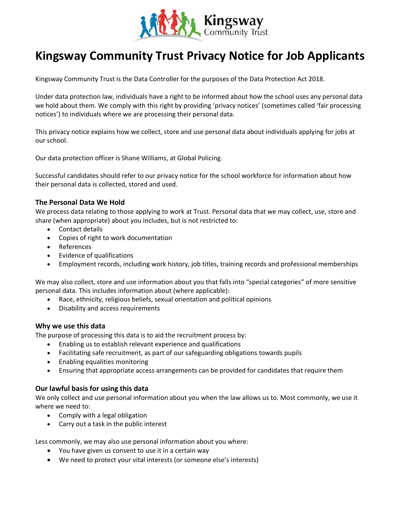

# **Kingsway Community Trust Privacy Notice for Job Applicants**

Kingsway Community Trust is the Data Controller for the purposes of the Data Protection Act 2018.

Under data protection law, individuals have a right to be informed about how the school uses any personal data we hold about them. We comply with this right by providing 'privacy notices' (sometimes called 'fair processing notices') to individuals where we are processing their personal data.

This privacy notice explains how we collect, store and use personal data about individuals applying for jobs at our school.

Our data protection officer is Shane Williams, at Global Policing.

Successful candidates should refer to our privacy notice for the school workforce for information about how their personal data is collected, stored and used.

## **The Personal Data We Hold**

We process data relating to those applying to work at Trust. Personal data that we may collect, use, store and share (when appropriate) about you includes, but is not restricted to:

- Contact details
- Copies of right to work documentation
- References
- Evidence of qualifications
- Employment records, including work history, job titles, training records and professional memberships

We may also collect, store and use information about you that falls into "special categories" of more sensitive personal data. This includes information about (where applicable):

- Race, ethnicity, religious beliefs, sexual orientation and political opinions
- Disability and access requirements

## **Why we use this data**

The purpose of processing this data is to aid the recruitment process by:

- Enabling us to establish relevant experience and qualifications
- Facilitating safe recruitment, as part of our safeguarding obligations towards pupils
- Enabling equalities monitoring
- Ensuring that appropriate access arrangements can be provided for candidates that require them

# **Our lawful basis for using this data**

We only collect and use personal information about you when the law allows us to. Most commonly, we use it where we need to:

- Comply with a legal obligation
- Carry out a task in the public interest

Less commonly, we may also use personal information about you where:

- You have given us consent to use it in a certain way
- We need to protect your vital interests (or someone else's interests)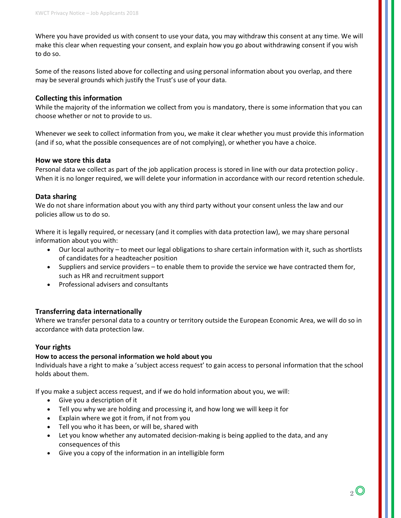Where you have provided us with consent to use your data, you may withdraw this consent at any time. We will make this clear when requesting your consent, and explain how you go about withdrawing consent if you wish to do so.

Some of the reasons listed above for collecting and using personal information about you overlap, and there may be several grounds which justify the Trust's use of your data.

## **Collecting this information**

While the majority of the information we collect from you is mandatory, there is some information that you can choose whether or not to provide to us.

Whenever we seek to collect information from you, we make it clear whether you must provide this information (and if so, what the possible consequences are of not complying), or whether you have a choice.

## **How we store this data**

Personal data we collect as part of the job application process is stored in line with our data protection policy . When it is no longer required, we will delete your information in accordance with our record retention schedule.

## **Data sharing**

We do not share information about you with any third party without your consent unless the law and our policies allow us to do so.

Where it is legally required, or necessary (and it complies with data protection law), we may share personal information about you with:

- Our local authority to meet our legal obligations to share certain information with it, such as shortlists of candidates for a headteacher position
- Suppliers and service providers to enable them to provide the service we have contracted them for, such as HR and recruitment support
- Professional advisers and consultants

# **Transferring data internationally**

Where we transfer personal data to a country or territory outside the European Economic Area, we will do so in accordance with data protection law.

## **Your rights**

## **How to access the personal information we hold about you**

Individuals have a right to make a 'subject access request' to gain access to personal information that the school holds about them.

If you make a subject access request, and if we do hold information about you, we will:

- Give you a description of it
- Tell you why we are holding and processing it, and how long we will keep it for
- Explain where we got it from, if not from you
- Tell you who it has been, or will be, shared with
- Let you know whether any automated decision-making is being applied to the data, and any consequences of this
- Give you a copy of the information in an intelligible form